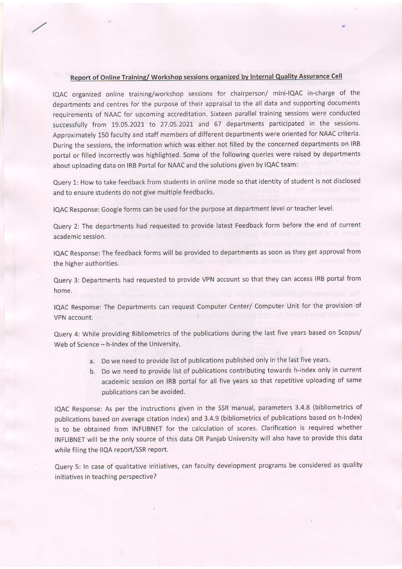## Report of Online Training/ Workshop sessions organized by Internal Quality Assurance Cell

IQAC organized online training/workshop sessions for chairperson/ mini-lQAc in-charge of the departments and centres for the purpose of their appraisal to the all data and supporting documents requirements of NAAC for upcoming accreditation. Sixteen parallel training sessions were conducted successfully from 19.05.2021 to 27.05.2021 and 67 departments participated in the sessions. Approximately 150 faculty and staff members of different departments were oriented for NAAC criteria. During the sessions, the information which was either not filled by the concerned departments on IRB portal or filled incorrectly was highlighted. Some of the following queries were raised by departments about uploading data on IRB Portal for NAAC and the solutions given by IQAC team:

Querv 1: How to take feedback from students in online mode so that identity of student is not disclosed and to ensure students do not give multiple feedbacks.

IQAC Response: Google forms can be used for the purpose at department level or teacher level.

Query 2: The departments had requested to provide latest Feedback form before the end of current academic session.

IQAC Response: The feedback forms will be provided to departments as soon as they get approval from the higher authorities.

Query 3: Departments had requested to provide VPN account so that they can access IRB portal from nome.

IQAC Response. The Departments can request Computer Center/ Computer Unit for the provision of VPN account.

Query 4: While providing Bibliometrics of the publications during the last five years based on Scopus/ Web of Science - h-Index of the University,

- a. Do we need to provide list of publications published only in the last five years.
- b. Do we need to provide list of publications contributing towards h-index only in current academic session on IRB portal for all five years so that repetitive uploading of same publications can be avoided.

IQAC Response: As per the instructions given in the SSR manual, parameters 3.4.8 (bibliometrics of publications based on average citation index) and 3.4.9 (bibliometrics of publications based on h-lndex) is to be obtained from INFLIBNET for the calculation of scores. Clarification is required whether INFL|BNET will be the onlv source of this data OR Panjab University will also have to provide this data while filing the llQA report/SsR report.

Query 5: In case of qualitative initiatives, can faculty development programs be considered as quality initiatives in teaching perspective?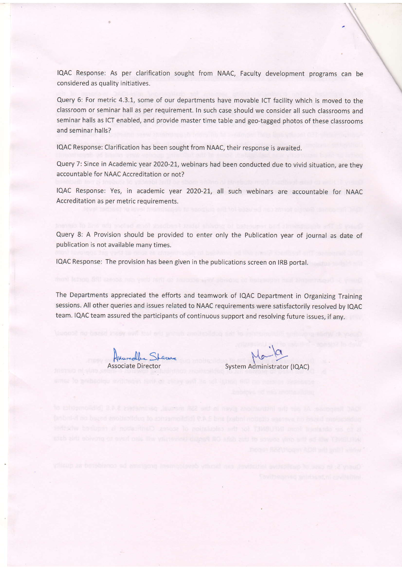IQAC Response: As per clarification sought from NAAC, Faculty development programs can be considered as quality initiatives.

Query 6: For metric 4.3.1, some of our departments have movable ICT facility which is moved to the classroom or seminar hall as per requirement. In such case should we consider all such classrooms ano seminar halls as ICT enabled, and provide master time table and geo-tagged photos of these classrooms and seminar halls?

IQAC Response: Clarification has been sought from NAAC, their response is awaited.

Query 7: Since in Academic year 2020-21, webinars had been conducted due to vivid situation, are they accountable for NAAC Accreditation or not?

IQAC Response: Yes, in academic year 2020-21, all such webinars are accountable for NAAC Accreditation as per metric requirements.

Query 8: A Provision should be provided to enter only the publication year of journal as date of publication is not available many times.

IQAC Response: The provision has been given in the publications screen on IRB portal.

The Departments appreciated the efforts and teamwork of IQAC Department in Organizing Training sessions. All other queries and issues related to NAAC requirements were satisfactorily resolved by IQAC team. IQAC team assured the participants of continuous support and resolving future issues, if any.

flucredle Starne

System Administrator (IQAC)

we keeppose. At air the interur lons given in the SSR manual, parameters 3.4.8 (black from INFLUBRET for the calculation of scores. Clarification at required whether